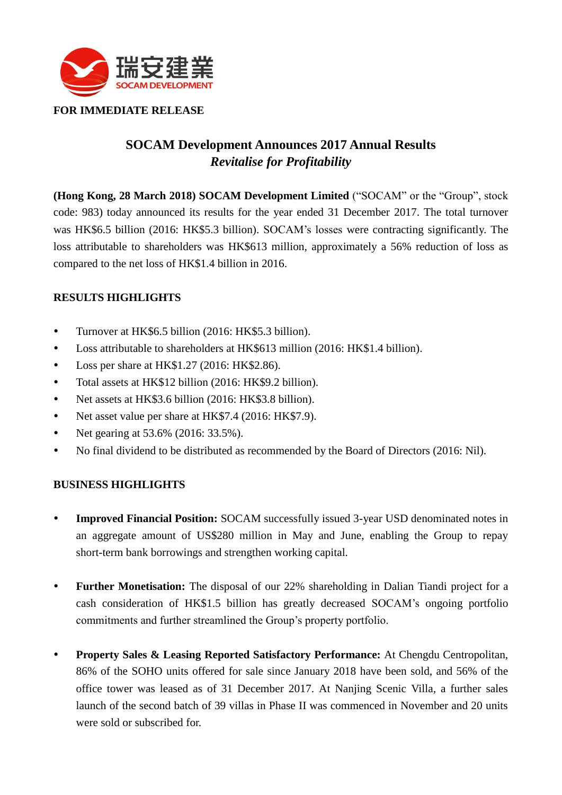

**FOR IMMEDIATE RELEASE**

# **SOCAM Development Announces 2017 Annual Results** *Revitalise for Profitability*

**(Hong Kong, 28 March 2018) SOCAM Development Limited** ("SOCAM" or the "Group", stock code: 983) today announced its results for the year ended 31 December 2017. The total turnover was HK\$6.5 billion (2016: HK\$5.3 billion). SOCAM's losses were contracting significantly. The loss attributable to shareholders was HK\$613 million, approximately a 56% reduction of loss as compared to the net loss of HK\$1.4 billion in 2016.

## **RESULTS HIGHLIGHTS**

- Turnover at HK\$6.5 billion (2016: HK\$5.3 billion).
- Loss attributable to shareholders at HK\$613 million (2016: HK\$1.4 billion).
- Loss per share at HK\$1.27 (2016: HK\$2.86).
- Total assets at HK\$12 billion (2016: HK\$9.2 billion).
- Net assets at HK\$3.6 billion (2016: HK\$3.8 billion).
- Net asset value per share at HK\$7.4 (2016: HK\$7.9).
- Net gearing at 53.6% (2016: 33.5%).
- No final dividend to be distributed as recommended by the Board of Directors (2016: Nil).

## **BUSINESS HIGHLIGHTS**

- **Improved Financial Position:** SOCAM successfully issued 3-year USD denominated notes in an aggregate amount of US\$280 million in May and June, enabling the Group to repay short-term bank borrowings and strengthen working capital.
- **Further Monetisation:** The disposal of our 22% shareholding in Dalian Tiandi project for a cash consideration of HK\$1.5 billion has greatly decreased SOCAM's ongoing portfolio commitments and further streamlined the Group's property portfolio.
- **Property Sales & Leasing Reported Satisfactory Performance:** At Chengdu Centropolitan, 86% of the SOHO units offered for sale since January 2018 have been sold, and 56% of the office tower was leased as of 31 December 2017. At Nanjing Scenic Villa, a further sales launch of the second batch of 39 villas in Phase II was commenced in November and 20 units were sold or subscribed for.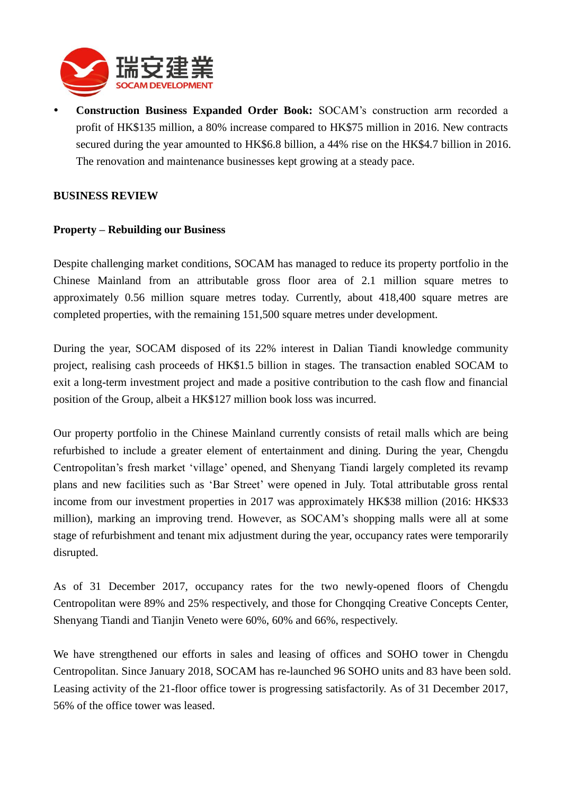

 **Construction Business Expanded Order Book:** SOCAM's construction arm recorded a profit of HK\$135 million, a 80% increase compared to HK\$75 million in 2016. New contracts secured during the year amounted to HK\$6.8 billion, a 44% rise on the HK\$4.7 billion in 2016. The renovation and maintenance businesses kept growing at a steady pace.

#### **BUSINESS REVIEW**

#### **Property – Rebuilding our Business**

Despite challenging market conditions, SOCAM has managed to reduce its property portfolio in the Chinese Mainland from an attributable gross floor area of 2.1 million square metres to approximately 0.56 million square metres today. Currently, about 418,400 square metres are completed properties, with the remaining 151,500 square metres under development.

During the year, SOCAM disposed of its 22% interest in Dalian Tiandi knowledge community project, realising cash proceeds of HK\$1.5 billion in stages. The transaction enabled SOCAM to exit a long-term investment project and made a positive contribution to the cash flow and financial position of the Group, albeit a HK\$127 million book loss was incurred.

Our property portfolio in the Chinese Mainland currently consists of retail malls which are being refurbished to include a greater element of entertainment and dining. During the year, Chengdu Centropolitan's fresh market 'village' opened, and Shenyang Tiandi largely completed its revamp plans and new facilities such as 'Bar Street' were opened in July. Total attributable gross rental income from our investment properties in 2017 was approximately HK\$38 million (2016: HK\$33 million), marking an improving trend. However, as SOCAM's shopping malls were all at some stage of refurbishment and tenant mix adjustment during the year, occupancy rates were temporarily disrupted.

As of 31 December 2017, occupancy rates for the two newly-opened floors of Chengdu Centropolitan were 89% and 25% respectively, and those for Chongqing Creative Concepts Center, Shenyang Tiandi and Tianjin Veneto were 60%, 60% and 66%, respectively.

We have strengthened our efforts in sales and leasing of offices and SOHO tower in Chengdu Centropolitan. Since January 2018, SOCAM has re-launched 96 SOHO units and 83 have been sold. Leasing activity of the 21-floor office tower is progressing satisfactorily. As of 31 December 2017, 56% of the office tower was leased.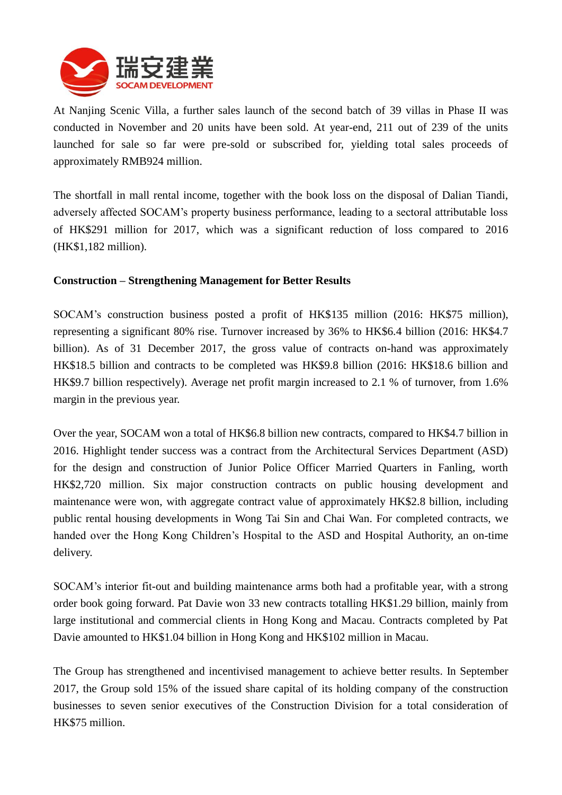

At Nanjing Scenic Villa, a further sales launch of the second batch of 39 villas in Phase II was conducted in November and 20 units have been sold. At year-end, 211 out of 239 of the units launched for sale so far were pre-sold or subscribed for, yielding total sales proceeds of approximately RMB924 million.

The shortfall in mall rental income, together with the book loss on the disposal of Dalian Tiandi, adversely affected SOCAM's property business performance, leading to a sectoral attributable loss of HK\$291 million for 2017, which was a significant reduction of loss compared to 2016 (HK\$1,182 million).

## **Construction – Strengthening Management for Better Results**

SOCAM's construction business posted a profit of HK\$135 million (2016: HK\$75 million), representing a significant 80% rise. Turnover increased by 36% to HK\$6.4 billion (2016: HK\$4.7 billion). As of 31 December 2017, the gross value of contracts on-hand was approximately HK\$18.5 billion and contracts to be completed was HK\$9.8 billion (2016: HK\$18.6 billion and HK\$9.7 billion respectively). Average net profit margin increased to 2.1 % of turnover, from 1.6% margin in the previous year.

Over the year, SOCAM won a total of HK\$6.8 billion new contracts, compared to HK\$4.7 billion in 2016. Highlight tender success was a contract from the Architectural Services Department (ASD) for the design and construction of Junior Police Officer Married Quarters in Fanling, worth HK\$2,720 million. Six major construction contracts on public housing development and maintenance were won, with aggregate contract value of approximately HK\$2.8 billion, including public rental housing developments in Wong Tai Sin and Chai Wan. For completed contracts, we handed over the Hong Kong Children's Hospital to the ASD and Hospital Authority, an on-time delivery.

SOCAM's interior fit-out and building maintenance arms both had a profitable year, with a strong order book going forward. Pat Davie won 33 new contracts totalling HK\$1.29 billion, mainly from large institutional and commercial clients in Hong Kong and Macau. Contracts completed by Pat Davie amounted to HK\$1.04 billion in Hong Kong and HK\$102 million in Macau.

The Group has strengthened and incentivised management to achieve better results. In September 2017, the Group sold 15% of the issued share capital of its holding company of the construction businesses to seven senior executives of the Construction Division for a total consideration of HK\$75 million.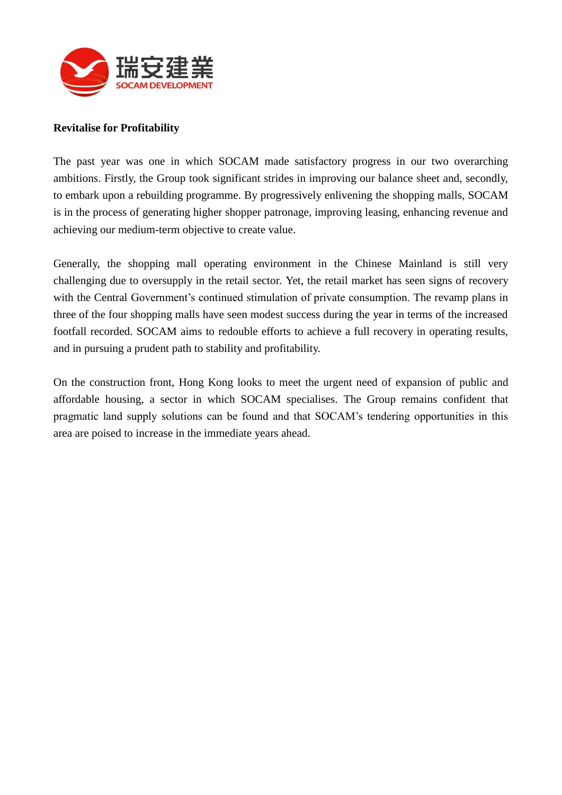

#### **Revitalise for Profitability**

The past year was one in which SOCAM made satisfactory progress in our two overarching ambitions. Firstly, the Group took significant strides in improving our balance sheet and, secondly, to embark upon a rebuilding programme. By progressively enlivening the shopping malls, SOCAM is in the process of generating higher shopper patronage, improving leasing, enhancing revenue and achieving our medium-term objective to create value.

Generally, the shopping mall operating environment in the Chinese Mainland is still very challenging due to oversupply in the retail sector. Yet, the retail market has seen signs of recovery with the Central Government's continued stimulation of private consumption. The revamp plans in three of the four shopping malls have seen modest success during the year in terms of the increased footfall recorded. SOCAM aims to redouble efforts to achieve a full recovery in operating results, and in pursuing a prudent path to stability and profitability.

On the construction front, Hong Kong looks to meet the urgent need of expansion of public and affordable housing, a sector in which SOCAM specialises. The Group remains confident that pragmatic land supply solutions can be found and that SOCAM's tendering opportunities in this area are poised to increase in the immediate years ahead.